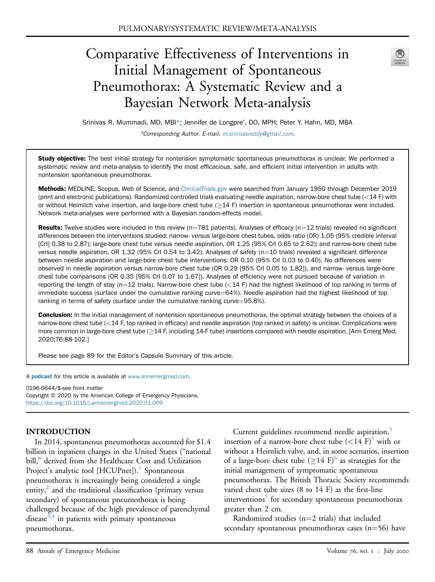# Comparative Effectiveness of Interventions in Initial Management of Spontaneous Pneumothorax: A Systematic Review and a Bayesian Network Meta-analysis

| for<br>. .<br>e. |
|------------------|
|                  |
|                  |

Srinivas R. Mummadi, MD, MBI\*; Jennifer de Longpre', DO, MPH; Peter Y. Hahn, MD, MBA

\*Corresponding Author. E-mail: [m.srinivasreddy@gmail.com](mailto:m.srinivasreddy@gmail.com).

Study objective: The best initial strategy for nontension symptomatic spontaneous pneumothorax is unclear. We performed a systematic review and meta-analysis to identify the most efficacious, safe, and efficient initial intervention in adults with nontension spontaneous pneumothorax.

Methods: MEDLINE, Scopus, Web of Science, and [ClinicalTrials.gov](http://ClinicalTrials.gov) were searched from January 1950 through December 2019 (print and electronic publications). Randomized controlled trials evaluating needle aspiration, narrow-bore chest tube (<14 F) with or without Heimlich valve insertion, and large-bore chest tube  $(\geq 14$  F) insertion in spontaneous pneumothorax were included. Network meta-analyses were performed with a Bayesian random-effects model.

Results: Twelve studies were included in this review ( $n=781$  patients). Analyses of efficacy ( $n=12$  trials) revealed no significant differences between the interventions studied: narrow- versus large-bore chest tubes, odds ratio (OR) 1.05 (95% credible interval [CrI] 0.38 to 2.87); large-bore chest tube versus needle aspiration, OR 1.25 (95% CrI 0.65 to 2.62); and narrow-bore chest tube versus needle aspiration, OR 1.32 (95% CrI 0.54 to 3.42). Analyses of safety ( $n=10$  trials) revealed a significant difference between needle aspiration and large-bore chest tube interventions: OR 0.10 (95% CrI 0.03 to 0.40). No differences were observed in needle aspiration versus narrow-bore chest tube (OR 0.29 [95% CrI 0.05 to 1.82]), and narrow- versus large-bore chest tube comparisons (OR 0.35 [95% CrI 0.07 to 1.67]). Analyses of efficiency were not pursued because of variation in reporting the length of stay (n=12 trials). Narrow-bore chest tube (<14 F) had the highest likelihood of top ranking in terms of immediate success (surface under the cumulative ranking curve=64%). Needle aspiration had the highest likelihood of top ranking in terms of safety (surface under the cumulative ranking curve=95.8%).

Conclusion: In the initial management of nontension spontaneous pneumothorax, the optimal strategy between the choices of a narrow-bore chest tube (<14 F, top ranked in efficacy) and needle aspiration (top ranked in safety) is unclear. Complications were more common in large-bore chest tube  $(214$  F, including 14-F tube) insertions compared with needle aspiration. [Ann Emerg Med. 2020;76:88-102.]

Please see page 89 for the Editor's Capsule Summary of this article.

A **[podcast](http://annemergmed.com/content/podcast)** for this article is available at [www.annemergmed.com](http://www.annemergmed.com).

0196-0644/\$-see front matter Copyright © 2020 by the American College of Emergency Physicians. <https://doi.org/10.1016/j.annemergmed.2020.01.009>

## INTRODUCTION

In 2014, spontaneous pneumothorax accounted for \$1.4 billion in inpatient charges in the United States ("national bill," derived from the Healthcare Cost and Utilization Project's analytic tool [HCUPnet]).<sup>[1](#page-13-0)</sup> Spontaneous pneumothorax is increasingly being considered a single entity, $\frac{2}{3}$  $\frac{2}{3}$  $\frac{2}{3}$  and the traditional classification (primary versus secondary) of spontaneous pneumothorax is being challenged because of the high prevalence of parenchymal disease<sup>[3](#page-13-2)[,4](#page-13-3)</sup> in patients with primary spontaneous pneumothorax.

Current guidelines recommend needle aspiration,<sup>[5](#page-13-4)</sup> insertion of a narrow-bore chest tube  $(<14 \text{ F})^5$  $(<14 \text{ F})^5$  with or without a Heimlich valve, and, in some scenarios, insertion of a large-bore chest tube  $(214 \text{ F})^6$  as strategies for the initial management of symptomatic spontaneous pneumothorax. The British Thoracic Society recommends varied chest tube sizes (8 to 14 F) as the first-line interventions<sup>3</sup> for secondary spontaneous pneumothorax greater than 2 cm.

Randomized studies ( $n=2$  trials) that included secondary spontaneous pneumothorax cases  $(n=56)$  have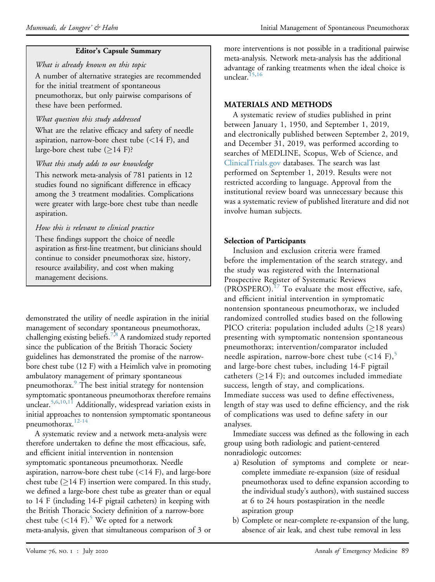# Editor's Capsule Summary

What is already known on this topic A number of alternative strategies are recommended for the initial treatment of spontaneous pneumothorax, but only pairwise comparisons of these have been performed.

# What question this study addressed

What are the relative efficacy and safety of needle aspiration, narrow-bore chest tube  $(<14$  F), and large-bore chest tube  $(\geq)14$  F)?

# What this study adds to our knowledge

This network meta-analysis of 781 patients in 12 studies found no significant difference in efficacy among the 3 treatment modalities. Complications were greater with large-bore chest tube than needle aspiration.

# How this is relevant to clinical practice

These findings support the choice of needle aspiration as first-line treatment, but clinicians should continue to consider pneumothorax size, history, resource availability, and cost when making management decisions.

demonstrated the utility of needle aspiration in the initial management of secondary spontaneous pneumothorax, challenging existing beliefs.[7,](#page-13-6)[8](#page-13-7) A randomized study reported since the publication of the British Thoracic Society guidelines has demonstrated the promise of the narrowbore chest tube (12 F) with a Heimlich valve in promoting ambulatory management of primary spontaneous pneumothorax.<sup>9</sup> The best initial strategy for nontension symptomatic spontaneous pneumothorax therefore remains unclear.<sup>[5](#page-13-4)[,6](#page-13-5),[10,](#page-13-9)[11](#page-13-10)</sup> Additionally, widespread variation exists in initial approaches to nontension symptomatic spontaneous pneumothorax.<sup>12-14</sup>

A systematic review and a network meta-analysis were therefore undertaken to define the most efficacious, safe, and efficient initial intervention in nontension symptomatic spontaneous pneumothorax. Needle aspiration, narrow-bore chest tube (<14 F), and large-bore chest tube  $(214 \text{ F})$  insertion were compared. In this study, we defined a large-bore chest tube as greater than or equal to 14 F (including 14-F pigtail catheters) in keeping with the British Thoracic Society definition of a narrow-bore chest tube  $(<14 \text{ F})$ .<sup>5</sup> We opted for a network meta-analysis, given that simultaneous comparison of 3 or

more interventions is not possible in a traditional pairwise meta-analysis. Network meta-analysis has the additional advantage of ranking treatments when the ideal choice is unclear. $15,16$  $15,16$ 

# MATERIALS AND METHODS

A systematic review of studies published in print between January 1, 1950, and September 1, 2019, and electronically published between September 2, 2019, and December 31, 2019, was performed according to searches of MEDLINE, Scopus, Web of Science, and [ClinicalTrials.gov](http://ClinicalTrials.gov) databases. The search was last performed on September 1, 2019. Results were not restricted according to language. Approval from the institutional review board was unnecessary because this was a systematic review of published literature and did not involve human subjects.

# Selection of Participants

Inclusion and exclusion criteria were framed before the implementation of the search strategy, and the study was registered with the International Prospective Register of Systematic Reviews  $(PROSPERO).<sup>17</sup>$  $(PROSPERO).<sup>17</sup>$  $(PROSPERO).<sup>17</sup>$  To evaluate the most effective, safe, and efficient initial intervention in symptomatic nontension spontaneous pneumothorax, we included randomized controlled studies based on the following PICO criteria: population included adults  $(≥18$  years) presenting with symptomatic nontension spontaneous pneumothorax; intervention/comparator included needle aspiration, narrow-bore chest tube  $(<14 \text{ F})$ ,<sup>[5](#page-13-4)</sup> and large-bore chest tubes, including 14-F pigtail catheters ( $\geq$ 14 F); and outcomes included immediate success, length of stay, and complications. Immediate success was used to define effectiveness, length of stay was used to define efficiency, and the risk of complications was used to define safety in our analyses.

Immediate success was defined as the following in each group using both radiologic and patient-centered nonradiologic outcomes:

- a) Resolution of symptoms and complete or nearcomplete immediate re-expansion (size of residual pneumothorax used to define expansion according to the individual study's authors), with sustained success at 6 to 24 hours postaspiration in the needle aspiration group
- b) Complete or near-complete re-expansion of the lung, absence of air leak, and chest tube removal in less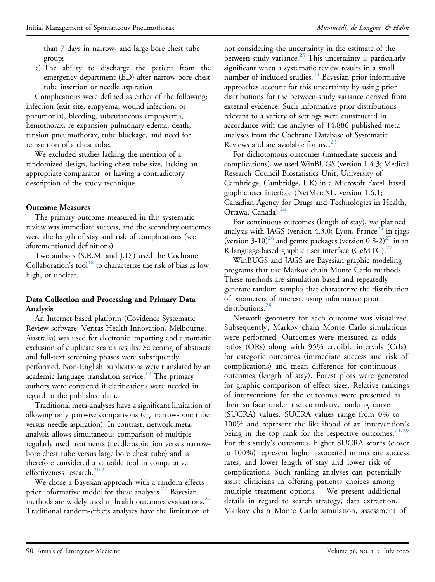than 7 days in narrow- and large-bore chest tube groups

c) The ability to discharge the patient from the emergency department (ED) after narrow-bore chest tube insertion or needle aspiration

Complications were defined as either of the following: infection (exit site, empyema, wound infection, or pneumonia), bleeding, subcutaneous emphysema, hemothorax, re-expansion pulmonary edema, death, tension pneumothorax, tube blockage, and need for reinsertion of a chest tube.

We excluded studies lacking the mention of a randomized design, lacking chest tube size, lacking an appropriate comparator, or having a contradictory description of the study technique.

## Outcome Measures

The primary outcome measured in this systematic review was immediate success, and the secondary outcomes were the length of stay and risk of complications (see aforementioned definitions).

Two authors (S.R.M. and J.D.) used the Cochrane Collaboration's tool<sup>18</sup> to characterize the risk of bias as low, high, or unclear.

## Data Collection and Processing and Primary Data Analysis

An Internet-based platform (Covidence Systematic Review software; Veritas Health Innovation, Melbourne, Australia) was used for electronic importing and automatic exclusion of duplicate search results. Screening of abstracts and full-text screening phases were subsequently performed. Non-English publications were translated by an academic language translation service.<sup>[19](#page-13-16)</sup> The primary authors were contacted if clarifications were needed in regard to the published data.

Traditional meta-analyses have a significant limitation of allowing only pairwise comparisons (eg, narrow-bore tube versus needle aspiration). In contrast, network metaanalysis allows simultaneous comparison of multiple regularly used treatments (needle aspiration versus narrowbore chest tube versus large-bore chest tube) and is therefore considered a valuable tool in comparative effectiveness research.<sup>20[,21](#page-13-18)</sup>

We chose a Bayesian approach with a random-effects prior informative model for these analyses.<sup>[22](#page-13-19)</sup> Bayesian methods are widely used in health outcomes evaluations. $^{22}$ Traditional random-effects analyses have the limitation of

not considering the uncertainty in the estimate of the between-study variance.<sup>[23](#page-13-20)</sup> This uncertainty is particularly significant when a systematic review results in a small number of included studies.<sup>23</sup> Bayesian prior informative approaches account for this uncertainty by using prior distributions for the between-study variance derived from external evidence. Such informative prior distributions relevant to a variety of settings were constructed in accordance with the analyses of 14,886 published metaanalyses from the Cochrane Database of Systematic Reviews and are available for use.<sup>[23](#page-13-20)</sup>

For dichotomous outcomes (immediate success and complications), we used WinBUGS (version 1.4.3; Medical Research Council Biostatistics Unit, University of Cambridge, Cambridge, UK) in a Microsoft Excel–based graphic user interface (NetMetaXL, version 1.6.1; Canadian Agency for Drugs and Technologies in Health, Ottawa, Canada).<sup>[24](#page-13-21)</sup>

For continuous outcomes (length of stay), we planned analysis with JAGS (version 4.3.0; Lyon, France<sup>[25](#page-13-22)</sup> in rjags (version 3-10)<sup>[26](#page-13-23)</sup> and gemtc packages (version 0.8-2)<sup>27</sup> in an R-language-based graphic user interface (GeMTC). $27$ 

WinBUGS and JAGS are Bayesian graphic modeling programs that use Markov chain Monte Carlo methods. These methods are simulation based and repeatedly generate random samples that characterize the distribution of parameters of interest, using informative prior distributions.<sup>28</sup>

Network geometry for each outcome was visualized. Subsequently, Markov chain Monte Carlo simulations were performed. Outcomes were measured as odds ratios (ORs) along with 95% credible intervals (CrIs) for categoric outcomes (immediate success and risk of complications) and mean difference for continuous outcomes (length of stay). Forest plots were generated for graphic comparison of effect sizes. Relative rankings of interventions for the outcomes were presented as their surface under the cumulative ranking curve (SUCRA) values. SUCRA values range from 0% to 100% and represent the likelihood of an intervention's being in the top rank for the respective outcomes.  $21,29$  $21,29$  $21,29$ For this study's outcomes, higher SUCRA scores (closer to 100%) represent higher associated immediate success rates, and lower length of stay and lower risk of complications. Such ranking analyses can potentially assist clinicians in offering patients choices among multiple treatment options.<sup>[21](#page-13-18)</sup> We present additional details in regard to search strategy, data extraction, Markov chain Monte Carlo simulation, assessment of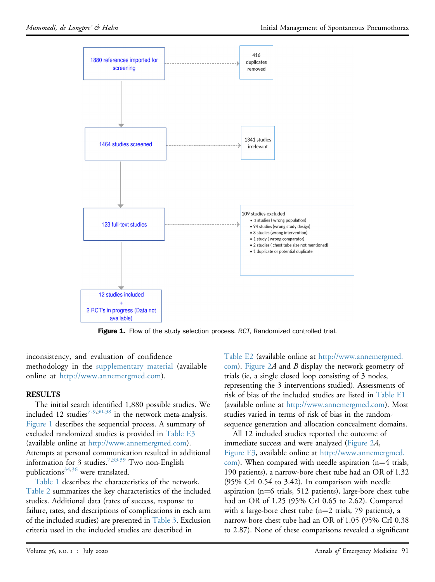<span id="page-3-0"></span>

Figure 1. Flow of the study selection process. RCT, Randomized controlled trial.

inconsistency, and evaluation of confidence methodology in the supplementary material (available online at [http://www.annemergmed.com\)](http://www.annemergmed.com).

## RESULTS

The initial search identified 1,880 possible studies. We included 12 studies<sup>[7-9,](#page-13-6)[30-38](#page-13-27)</sup> in the network meta-analysis. [Figure 1](#page-3-0) describes the sequential process. A summary of excluded randomized studies is provided in Table E3 (available online at [http://www.annemergmed.com\)](http://www.annemergmed.com). Attempts at personal communication resulted in additional information for 3 studies.<sup>[7,](#page-13-6)[33,](#page-13-28)[39](#page-14-0)</sup> Two non-English publications<sup>34[,36](#page-13-30)</sup> were translated.

[Table 1](#page-4-0) describes the characteristics of the network. [Table 2](#page-5-0) summarizes the key characteristics of the included studies. Additional data (rates of success, response to failure, rates, and descriptions of complications in each arm of the included studies) are presented in [Table 3](#page-8-0). Exclusion criteria used in the included studies are described in

Table E2 (available online at [http://www.annemergmed.](http://www.annemergmed.com) [com\)](http://www.annemergmed.com). [Figure 2](#page-10-0)A and B display the network geometry of trials (ie, a single closed loop consisting of 3 nodes, representing the 3 interventions studied). Assessments of risk of bias of the included studies are listed in Table E1 (available online at <http://www.annemergmed.com>). Most studies varied in terms of risk of bias in the randomsequence generation and allocation concealment domains.

All 12 included studies reported the outcome of immediate success and were analyzed [\(Figure 2](#page-10-0)A, Figure E3, available online at [http://www.annemergmed.](http://www.annemergmed.com)  $com$ ). When compared with needle aspiration (n=4 trials, 190 patients), a narrow-bore chest tube had an OR of 1.32 (95% CrI 0.54 to 3.42). In comparison with needle aspiration ( $n=6$  trials, 512 patients), large-bore chest tube had an OR of 1.25 (95% CrI 0.65 to 2.62). Compared with a large-bore chest tube  $(n=2 \text{ trials}, 79 \text{ patients})$ , a narrow-bore chest tube had an OR of 1.05 (95% CrI 0.38 to 2.87). None of these comparisons revealed a significant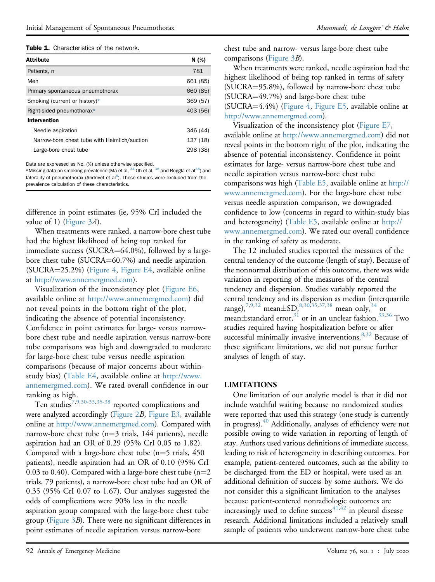Table 1. Characteristics of the network.

| <b>Attribute</b>                             | N(%)     |
|----------------------------------------------|----------|
| Patients, n                                  | 781      |
| Men                                          | 661 (85) |
| Primary spontaneous pneumothorax             | 660 (85) |
| Smoking (current or history)*                | 369 (57) |
| Right-sided pneumothorax*                    | 403 (56) |
| Intervention                                 |          |
| Needle aspiration                            | 346 (44) |
| Narrow-bore chest tube with Heimlich/suction | 137 (18) |
| Large-bore chest tube                        | 298 (38) |

<span id="page-4-0"></span>Data are expressed as No. (%) unless otherwise specified.

<span id="page-4-1"></span> $^*$ Missing data on smoking prevalence (Ma et al,  $^{34}$  $^{34}$  $^{34}$  Oh et al,  $^{36}$  $^{36}$  $^{36}$  and Roggla et al $^{38})$  and laterality of pneumothorax (Andrivet et al<sup>[8](#page-13-7)</sup>). These studies were excluded from the prevalence calculation of these characteristics.

difference in point estimates (ie, 95% CrI included the value of 1) [\(Figure 3](#page-10-1)A).

When treatments were ranked, a narrow-bore chest tube had the highest likelihood of being top ranked for immediate success (SUCRA $=64.0\%$ ), followed by a largebore chest tube (SUCRA=60.7%) and needle aspiration  $(SUCRA=25.2%)$  [\(Figure 4](#page-11-0), Figure E4, available online at <http://www.annemergmed.com>).

Visualization of the inconsistency plot (Figure E6, available online at <http://www.annemergmed.com>) did not reveal points in the bottom right of the plot, indicating the absence of potential inconsistency. Confidence in point estimates for large- versus narrowbore chest tube and needle aspiration versus narrow-bore tube comparisons was high and downgraded to moderate for large-bore chest tube versus needle aspiration comparisons (because of major concerns about withinstudy bias) (Table E4, available online at [http://www.](http://www.annemergmed.com) [annemergmed.com](http://www.annemergmed.com)). We rated overall confidence in our ranking as high.

Ten studies[7](#page-13-6)[,9,](#page-13-8)[30-33,](#page-13-27)[35-38](#page-13-31) reported complications and were analyzed accordingly ([Figure 2](#page-10-0)B, Figure E3, available online at [http://www.annemergmed.com\)](http://www.annemergmed.com). Compared with narrow-bore chest tube ( $n=3$  trials, 144 patients), needle aspiration had an OR of 0.29 (95% CrI 0.05 to 1.82). Compared with a large-bore chest tube  $(n=5 \text{ trials}, 450 \text{ miles})$ patients), needle aspiration had an OR of 0.10 (95% CrI 0.03 to 0.40). Compared with a large-bore chest tube  $(n=2)$ trials, 79 patients), a narrow-bore chest tube had an OR of 0.35 (95% CrI 0.07 to 1.67). Our analyses suggested the odds of complications were 90% less in the needle aspiration group compared with the large-bore chest tube group [\(Figure 3](#page-10-1)B). There were no significant differences in point estimates of needle aspiration versus narrow-bore

chest tube and narrow- versus large-bore chest tube comparisons ([Figure 3](#page-10-1)B).

When treatments were ranked, needle aspiration had the highest likelihood of being top ranked in terms of safety (SUCRA=95.8%), followed by narrow-bore chest tube  $(SUCRA=49.7%)$  and large-bore chest tube  $(SUCRA=4.4%)$  [\(Figure 4](#page-11-0), Figure E5, available online at [http://www.annemergmed.com\)](http://www.annemergmed.com).

Visualization of the inconsistency plot (Figure E7, available online at <http://www.annemergmed.com>) did not reveal points in the bottom right of the plot, indicating the absence of potential inconsistency. Confidence in point estimates for large- versus narrow-bore chest tube and needle aspiration versus narrow-bore chest tube comparisons was high (Table E5, available online at [http://](http://www.annemergmed.com) [www.annemergmed.com](http://www.annemergmed.com)). For the large-bore chest tube versus needle aspiration comparison, we downgraded confidence to low (concerns in regard to within-study bias and heterogeneity) (Table E5, available online at [http://](http://www.annemergmed.com) [www.annemergmed.com](http://www.annemergmed.com)). We rated our overall confidence in the ranking of safety as moderate.

The 12 included studies reported the measures of the central tendency of the outcome (length of stay). Because of the nonnormal distribution of this outcome, there was wide variation in reporting of the measures of the central tendency and dispersion. Studies variably reported the central tendency and its dispersion as median (interquartile range),<sup>7[,9,](#page-13-8)[32](#page-13-32)</sup> mean $\pm$ SD,<sup>8[,30,](#page-13-27)[35,](#page-13-31)[37](#page-13-33)[,38](#page-14-1)</sup> mean only,<sup>[34](#page-13-29)</sup> or mean±standard error,<sup>[31](#page-13-34)</sup> or in an unclear fashion.<sup>[33](#page-13-28)[,36](#page-13-30)</sup> Two studies required having hospitalization before or after successful minimally invasive interventions.<sup>[8,](#page-13-7)[32](#page-13-32)</sup> Because of these significant limitations, we did not pursue further analyses of length of stay.

## LIMITATIONS

One limitation of our analytic model is that it did not include watchful waiting because no randomized studies were reported that used this strategy (one study is currently in progress).[40](#page-14-2) Additionally, analyses of efficiency were not possible owing to wide variation in reporting of length of stay. Authors used various definitions of immediate success, leading to risk of heterogeneity in describing outcomes. For example, patient-centered outcomes, such as the ability to be discharged from the ED or hospital, were used as an additional definition of success by some authors. We do not consider this a significant limitation to the analyses because patient-centered nonradiologic outcomes are increasingly used to define success<sup>[41](#page-14-3),[42](#page-14-4)</sup> in pleural disease research. Additional limitations included a relatively small sample of patients who underwent narrow-bore chest tube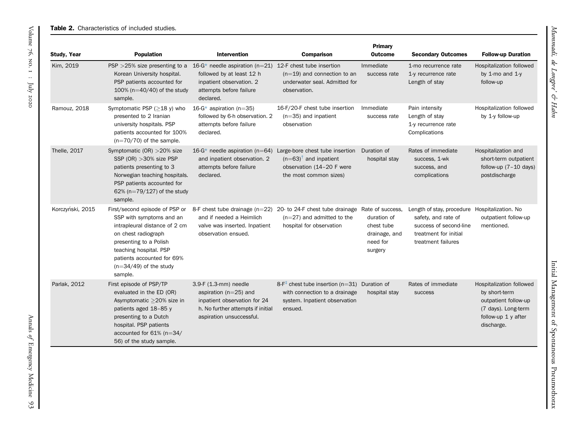#### **Table 2.** Characteristics of included studies.

<span id="page-5-0"></span>

| <b>Study, Year</b>                                                                                                                                                                                                          | <b>Population</b>                                                                                                                                                                                                                           | <b>Intervention</b>                                                                                                                                 | <b>Comparison</b>                                                                                                                    | <b>Primary</b><br><b>Outcome</b>                                                      | <b>Secondary Outcomes</b>                                                                                                                     | <b>Follow-up Duration</b>                                                                                                     |
|-----------------------------------------------------------------------------------------------------------------------------------------------------------------------------------------------------------------------------|---------------------------------------------------------------------------------------------------------------------------------------------------------------------------------------------------------------------------------------------|-----------------------------------------------------------------------------------------------------------------------------------------------------|--------------------------------------------------------------------------------------------------------------------------------------|---------------------------------------------------------------------------------------|-----------------------------------------------------------------------------------------------------------------------------------------------|-------------------------------------------------------------------------------------------------------------------------------|
| Kim, 2019<br>$PSP > 25\%$ size presenting to a<br>Korean University hospital.<br>PSP patients accounted for<br>100% ( $n=40/40$ ) of the study<br>sample.<br>declared.<br>Ramouz, 2018<br>Symptomatic PSP $(\geq 18$ y) who |                                                                                                                                                                                                                                             | 16-G* needle aspiration ( $n=21$ )<br>followed by at least 12 h<br>inpatient observation. 2<br>attempts before failure                              | 12-F chest tube insertion<br>$(n=19)$ and connection to an<br>underwater seal. Admitted for<br>observation.                          | Immediate<br>success rate                                                             | 1-mo recurrence rate<br>1-y recurrence rate<br>Length of stay                                                                                 | <b>Hospitalization followed</b><br>by 1-mo and $1-y$<br>follow-up                                                             |
|                                                                                                                                                                                                                             | presented to 2 Iranian<br>university hospitals. PSP<br>patients accounted for 100%<br>$(n=70/70)$ of the sample.                                                                                                                            | 16-G* aspiration (n=35)<br>followed by 6-h observation. 2<br>attempts before failure<br>declared.                                                   | 16-F/20-F chest tube insertion<br>$(n=35)$ and inpatient<br>observation                                                              | Immediate<br>success rate                                                             | Pain intensity<br>Length of stay<br>1-y recurrence rate<br>Complications                                                                      | Hospitalization followed<br>by 1-y follow-up                                                                                  |
| Thelle, 2017                                                                                                                                                                                                                | Symptomatic (OR) > 20% size<br>SSP (OR) $>30\%$ size PSP<br>patients presenting to 3<br>Norwegian teaching hospitals.<br>PSP patients accounted for<br>62% ( $n=79/127$ ) of the study<br>sample.                                           | 16-G* needle aspiration ( $n=64$ )<br>and inpatient observation. 2<br>attempts before failure<br>declared.                                          | Large-bore chest tube insertion<br>$(n=63)^{T}$ and inpatient<br>observation (14-20 F were<br>the most common sizes)                 | Duration of<br>hospital stay                                                          | Rates of immediate<br>success, 1-wk<br>success, and<br>complications                                                                          | Hospitalization and<br>short-term outpatient<br>follow-up $(7-10$ days)<br>postdischarge                                      |
| Korczyński, 2015                                                                                                                                                                                                            | First/second episode of PSP or<br>SSP with symptoms and an<br>intrapleural distance of 2 cm<br>on chest radiograph<br>presenting to a Polish<br>teaching hospital. PSP<br>patients accounted for 69%<br>$(n=34/49)$ of the study<br>sample. | and if needed a Heimlich<br>valve was inserted. Inpatient<br>observation ensued.                                                                    | 8-F chest tube drainage $(n=22)$ 20- to 24-F chest tube drainage<br>$(n=27)$ and admitted to the<br>hospital for observation         | Rate of success.<br>duration of<br>chest tube<br>drainage, and<br>need for<br>surgery | Length of stay, procedure Hospitalization. No<br>safety, and rate of<br>success of second-line<br>treatment for initial<br>treatment failures | outpatient follow-up<br>mentioned.                                                                                            |
| Parlak, 2012                                                                                                                                                                                                                | First episode of PSP/TP<br>evaluated in the ED (OR)<br>Asymptomatic ≥20% size in<br>patients aged 18-85 y<br>presenting to a Dutch<br>hospital. PSP patients<br>accounted for 61% (n=34/<br>56) of the study sample.                        | 3.9-F (1.3-mm) needle<br>aspiration ( $n=25$ ) and<br>inpatient observation for 24<br>h. No further attempts if initial<br>aspiration unsuccessful. | $8-F^{\dagger}$ chest tube insertion (n=31) Duration of<br>with connection to a drainage<br>system. Inpatient observation<br>ensued. | hospital stay                                                                         | Rates of immediate<br>success                                                                                                                 | Hospitalization followed<br>by short-term<br>outpatient follow-up<br>(7 days). Long-term<br>follow-up 1 y after<br>discharge. |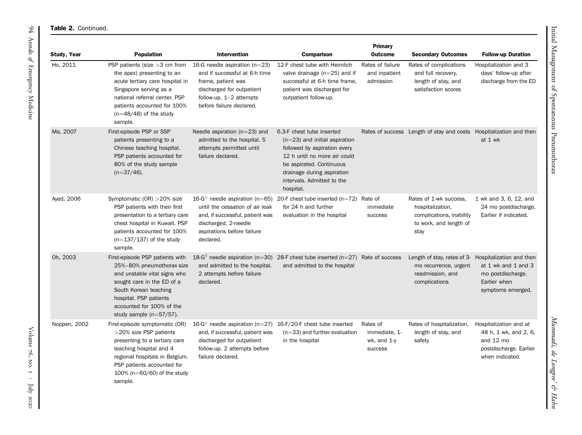#### Table 2. Continued.

| Study, Year  | <b>Population</b>                                                                                                                                                                                                                        | <b>Intervention</b>                                                                                                                                                                  | <b>Comparison</b>                                                                                                                                                                                                                 | Primary<br><b>Outcome</b>                                  | <b>Secondary Outcomes</b>                                                                                | <b>Follow-up Duration</b>                                                                                 |
|--------------|------------------------------------------------------------------------------------------------------------------------------------------------------------------------------------------------------------------------------------------|--------------------------------------------------------------------------------------------------------------------------------------------------------------------------------------|-----------------------------------------------------------------------------------------------------------------------------------------------------------------------------------------------------------------------------------|------------------------------------------------------------|----------------------------------------------------------------------------------------------------------|-----------------------------------------------------------------------------------------------------------|
| Ho, 2011     | PSP patients (size >3 cm from<br>the apex) presenting to an<br>acute tertiary care hospital in<br>Singapore serving as a<br>national referral center. PSP<br>patients accounted for 100%<br>$(n=48/48)$ of the study<br>sample.          | 16-G needle aspiration ( $n=23$ )<br>and if successful at 6-h time<br>frame, patient was<br>discharged for outpatient<br>follow-up. $1-2$ attempts<br>before failure declared.       | 12-F chest tube with Heimlich<br>valve drainage $(n=25)$ and if<br>successful at 6-h time frame,<br>patient was discharged for<br>outpatient follow-up.                                                                           | Rates of failure<br>and inpatient<br>admission             | Rates of complications<br>and full recovery,<br>length of stay, and<br>satisfaction scores               | Hospitalization and 3<br>days' follow-up after<br>discharge from the ED                                   |
| Ma, 2007     | First-episode PSP or SSP<br>patients presenting to a<br>Chinese teaching hospital.<br>PSP patients accounted for<br>80% of the study sample<br>$(n=37/46)$ .                                                                             | Needle aspiration ( $n=23$ ) and<br>admitted to the hospital. 5<br>attempts permitted until<br>failure declared.                                                                     | 6.3-F chest tube inserted<br>$(n=23)$ and initial aspiration<br>followed by aspiration every<br>12 h until no more air could<br>be aspirated. Continuous<br>drainage during aspiration<br>intervals. Admitted to the<br>hospital. |                                                            | Rates of success Length of stay and costs Hospitalization and then                                       | at 1 wk                                                                                                   |
| Ayed, 2006   | Symptomatic (OR) > 20% size<br>PSP patients with their first<br>presentation to a tertiary care<br>chest hospital in Kuwait. PSP<br>patients accounted for 100%<br>$(n=137/137)$ of the study<br>sample.                                 | 16- $G^*$ needle aspiration (n=65)<br>until the cessation of air leak<br>and, if successful, patient was<br>discharged. 2-needle<br>aspirations before failure<br>declared.          | 20-F chest tube inserted $(n=72)$ Rate of<br>for 24 h and further<br>evaluation in the hospital                                                                                                                                   | immediate<br>success                                       | Rates of 1-wk success.<br>hospitalization,<br>complications, inability<br>to work, and length of<br>stay | 1 wk and 3, 6, 12, and<br>24 mo postdischarge.<br>Earlier if indicated.                                   |
| Oh, 2003     | First-episode PSP patients with<br>25%-80% pneumothorax size<br>and unstable vital signs who<br>sought care in the ED of a<br>South Korean teaching<br>hospital. PSP patients<br>accounted for 100% of the<br>study sample $(n=57/57)$ . | and admitted to the hospital.<br>2 attempts before failure<br>declared.                                                                                                              | 18-G <sup>§</sup> needle aspiration (n=30) 28-F chest tube inserted (n=27) Rate of success<br>and admitted to the hospital                                                                                                        |                                                            | Length of stay, rates of 3-<br>mo recurrence, urgent<br>readmission, and<br>complications                | Hospitalization and then<br>at 1 wk and 1 and 3<br>mo postdischarge.<br>Earlier when<br>symptoms emerged. |
| Noppen, 2002 | First-episode symptomatic (OR)<br>>20% size PSP patients<br>presenting to a tertiary care<br>teaching hospital and 4<br>regional hospitals in Belgium.<br>PSP patients accounted for<br>100% ( $n=60/60$ ) of the study<br>sample.       | $16-G^*$ needle aspiration (n=27) 16-F/20-F chest tube inserted<br>and, if successful, patient was<br>discharged for outpatient<br>follow-up. 2 attempts before<br>failure declared. | $(n=33)$ and further evaluation<br>in the hospital                                                                                                                                                                                | Rates of<br>immediate, 1-<br>wk, and 1-y<br><b>SUCCESS</b> | Rates of hospitalization,<br>length of stay, and<br>safety                                               | Hospitalization and at<br>48 h, 1 wk, and 2, 6,<br>and 12 mo<br>postdischarge. Earlier<br>when indicated. |

Mummadi, de Longpre

' & Hahn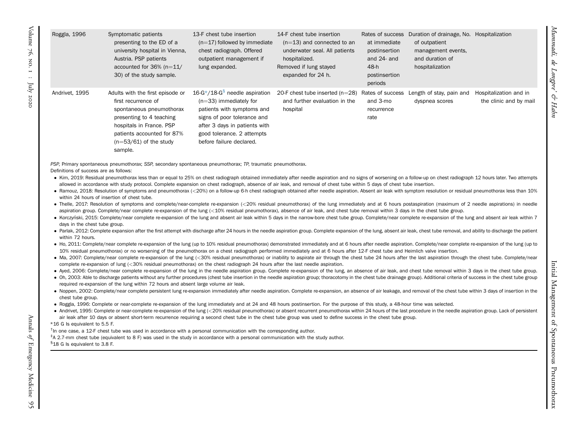| IT URSCHUD MOUNT                  |
|-----------------------------------|
| $(n=13)$ and connected to an      |
| underwater seal. All patients     |
| hospitalized.                     |
| Removed if lung stayed            |
| expanded for 24 h.                |
|                                   |
| 20-F chest tube inserted $(n=28)$ |

and further evaluation in the

| 14-F chest tube insertion     | Rates of success |
|-------------------------------|------------------|
| $(n=13)$ and connected to an  | at immediate     |
| underwater seal. All patients | postinsertion    |
| hospitalized.                 | and $24$ - and   |
| Removed if lung stayed        | 48-h             |
| expanded for 24 h.            | postinsertion    |
|                               | periods          |
|                               |                  |

| 48-h<br>postinsertion<br>periods | hospitalization                                             |                                               |
|----------------------------------|-------------------------------------------------------------|-----------------------------------------------|
| and 3-mo<br>recurrence<br>rate   | Rates of success Length of stay, pain and<br>dyspnea scores | Hospitalization and in<br>the clinic and by m |

Duration of drainage, No. Hospitalization

<span id="page-7-3"></span><span id="page-7-2"></span><span id="page-7-1"></span><span id="page-7-0"></span>the clinic and by mail

Mummadi, de Longpre

Mummadi,

' & Hahn

of outpatient management events, and duration of

PSP, Primary spontaneous pneumothorax; SSP, secondary spontaneous pneumothorax; TP, traumatic pneumothorax.

13-F chest tube insertion $(n=17)$  followed by immediate chest radiograph. Offered outpatient management if

lung expanded.

 $16 - G^*/18 - G^8$  $16 - G^*/18 - G^8$  $16 - G^*/18 - G^8$  needle aspiration  $(n=33)$  immediately for patients with symptoms and signs of poor tolerance and after 3 days in patients with good tolerance. 2 attempts before failure declared.

Definitions of success are as follows:

Roggla, 1996 Symptomatic patients

Andrivet, 1995 Adults with the first episode or

sample.

first recurrence of

spontaneous pneumothorax presenting to 4 teaching hospitals in France. PSP patients accounted for 87%  $(n=53/61)$  of the study

presenting to the ED of <sup>a</sup> university hospital in Vienna, Austria. PSP patients accounted for  $36\%$  (n= $11/$ 30) of the study sample.

• Kim, 2019: Residual pneumothorax less than or equal to 25% on chest radiograph obtained immediately after needle aspiration and no signs of worsening on a follow-up on chest radiograph 12 hours later. Two attempts allowed in accordance with study protocol. Complete expansion on chest radiograph, absence of air leak, and removal of chest tube within 5 days of chest tube insertion.

hospital

- Ramouz, 2018: Resolution of symptoms and pneumothorax (<20%) on a follow-up 6-h chest radiograph obtained after needle aspiration. Absent air leak with symptom resolution or residual pneumothorax less than 10% within 24 hours of insertion of chest tube.
- Thelle, 2017: Resolution of symptoms and complete/near-complete re-expansion (<20% residual pneumothorax) of the lung immediately and at 6 hours postaspiration (maximum of 2 needle aspirations) in needle aspiration group. Complete/near complete re-expansion of the lung (<10% residual pneumothorax), absence of air leak, and chest tube removal within 3 days in the chest tube group.
- Korczyński, 2015: Complete/near complete re-expansion of the lung and absent air leak within 5 days in the narrow-bore chest tube group. Complete/near complete re-expansion of the lung and absent air leak within 7 days in the chest tube group.
- $\bullet$  Parlak, 2012: Complete expansion after the first attempt with discharge after 24 hours in the needle aspiration group. Complete expansion of the lung, absent air leak, chest tube removal, and ability to discharge the within 72 hours.
- Ho, 2011: Complete/near complete re-expansion of the lung (up to 10% residual pneumothorax) demonstrated immediately and at 6 hours after needle aspiration. Complete/near complete re-expansion of the lung (up to 10% residual pneumothorax) or no worsening of the pneumothorax on <sup>a</sup> chest radiograph performed immediately and at 6 hours after 12-F chest tube and Heimlich valve insertion.
- Ma, 2007: Complete/near complete re-expansion of the lung (<30% residual pneumothorax) or inability to aspirate air through the chest tube 24 hours after the last aspiration through the chest tube. Complete/near complete re-expansion of lung (<30% residual pneumothorax) on the chest radiograph 24 hours after the last needle aspiration.
- Ayed, 2006: Complete/near complete re-expansion of the lung in the needle aspiration group. Complete re-expansion of the lung, an absence of air leak, and chest tube removal within 3 days in the chest tube group.
- $\bullet$  Oh, 2003: Able to discharge patients without any further procedures (chest tube insertion in the needle aspiration group; thoracotomy in the chest tube drainage group). Additional criteria of success in the chest tub required re-expansion of the lung within 72 hours and absent large volume air leak.
- $\bullet$  Noppen, 2002: Complete/near complete persistent lung re-expansion immediately after needle aspiration. Complete re-expansion, an absence of air leakage, and removal of the chest tube within 3 days of insertion in the chest tube group.
- Roggla, 1996: Complete or near-complete re-expansion of the lung immediately and at 24 and 48 hours postinsertion. For the purpose of this study, a 48-hour time was selected.
- $\bullet$  Andrivet, 1995: Complete or near-complete re-expansion of the lung (<20% residual pneumothorax) or absent recurrent pneumothorax within 24 hours of the last procedure in the needle aspiration group. Lack of persisten air leak after 10 days or absent short-term recurrence requiring a second chest tube in the chest tube group was used to define success in the chest tube group.

#### \*16 G Is equivalent to 5.5 F.

- $<sup>†</sup>$ In one case, a 12-F chest tube was used in accordance with a personal communication with the corresponding author.</sup>
- ‡<sup>A</sup> 2.7-mm chest tube (equivalent to <sup>8</sup> F) was used in the study in accordance with <sup>a</sup> personal communication with the study author.

#### §18 <sup>G</sup> Is equivalent to 3.8 F.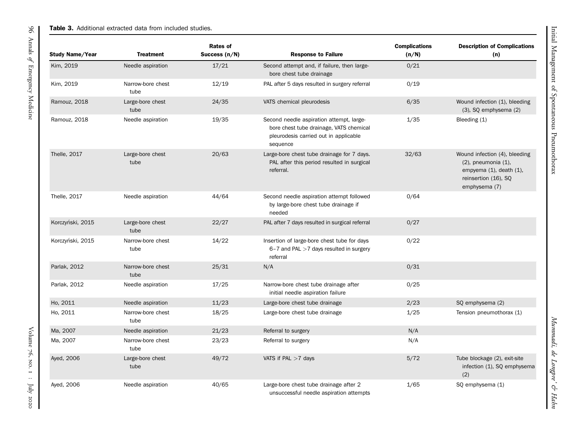### **Table 3.** Additional extracted data from included studies.

<span id="page-8-0"></span>

| Study Name/Year  | <b>Treatment</b>          | <b>Rates of</b><br>Success $(n/N)$ | <b>Response to Failure</b>                                                                                                               | <b>Complications</b><br>(n/N) | <b>Description of Complications</b><br>(n)                                                                                           |
|------------------|---------------------------|------------------------------------|------------------------------------------------------------------------------------------------------------------------------------------|-------------------------------|--------------------------------------------------------------------------------------------------------------------------------------|
| Kim, 2019        | Needle aspiration         | 17/21                              | Second attempt and, if failure, then large-<br>bore chest tube drainage                                                                  | 0/21                          |                                                                                                                                      |
| Kim, 2019        | Narrow-bore chest<br>tube | 12/19                              | PAL after 5 days resulted in surgery referral                                                                                            | 0/19                          |                                                                                                                                      |
| Ramouz, 2018     | Large-bore chest<br>tube  | 24/35                              | VATS chemical pleurodesis                                                                                                                | 6/35                          | Wound infection (1), bleeding<br>$(3)$ , SQ emphysema $(2)$                                                                          |
| Ramouz, 2018     | Needle aspiration         | 19/35                              | Second needle aspiration attempt, large-<br>bore chest tube drainage, VATS chemical<br>pleurodesis carried out in applicable<br>sequence | 1/35                          | Bleeding (1)                                                                                                                         |
| Thelle, 2017     | Large-bore chest<br>tube  | 20/63                              | Large-bore chest tube drainage for 7 days.<br>PAL after this period resulted in surgical<br>referral.                                    | 32/63                         | Wound infection (4), bleeding<br>$(2)$ , pneumonia $(1)$ ,<br>empyema $(1)$ , death $(1)$ ,<br>reinsertion (16), SQ<br>emphysema (7) |
| Thelle, 2017     | Needle aspiration         | 44/64                              | Second needle aspiration attempt followed<br>by large-bore chest tube drainage if<br>needed                                              | 0/64                          |                                                                                                                                      |
| Korczyński, 2015 | Large-bore chest<br>tube  | 22/27                              | PAL after 7 days resulted in surgical referral                                                                                           | 0/27                          |                                                                                                                                      |
| Korczyński, 2015 | Narrow-bore chest<br>tube | 14/22                              | Insertion of large-bore chest tube for days<br>$6 - 7$ and PAL $> 7$ days resulted in surgery<br>referral                                | 0/22                          |                                                                                                                                      |
| Parlak, 2012     | Narrow-bore chest<br>tube | 25/31                              | N/A                                                                                                                                      | 0/31                          |                                                                                                                                      |
| Parlak, 2012     | Needle aspiration         | 17/25                              | Narrow-bore chest tube drainage after<br>initial needle aspiration failure                                                               | 0/25                          |                                                                                                                                      |
| Ho, 2011         | Needle aspiration         | 11/23                              | Large-bore chest tube drainage                                                                                                           | 2/23                          | SQ emphysema (2)                                                                                                                     |
| Ho, 2011         | Narrow-bore chest<br>tube | 18/25                              | Large-bore chest tube drainage                                                                                                           | 1/25                          | Tension pneumothorax (1)                                                                                                             |
| Ma, 2007         | Needle aspiration         | 21/23                              | Referral to surgery                                                                                                                      | N/A                           |                                                                                                                                      |
| Ma, 2007         | Narrow-bore chest<br>tube | 23/23                              | Referral to surgery                                                                                                                      | N/A                           |                                                                                                                                      |
| Ayed, 2006       | Large-bore chest<br>tube  | 49/72                              | VATS if PAL $>7$ days                                                                                                                    | 5/72                          | Tube blockage (2), exit-site<br>infection (1), SQ emphysema<br>(2)                                                                   |
| Ayed, 2006       | Needle aspiration         | 40/65                              | Large-bore chest tube drainage after 2<br>unsuccessful needle aspiration attempts                                                        | 1/65                          | SQ emphysema (1)                                                                                                                     |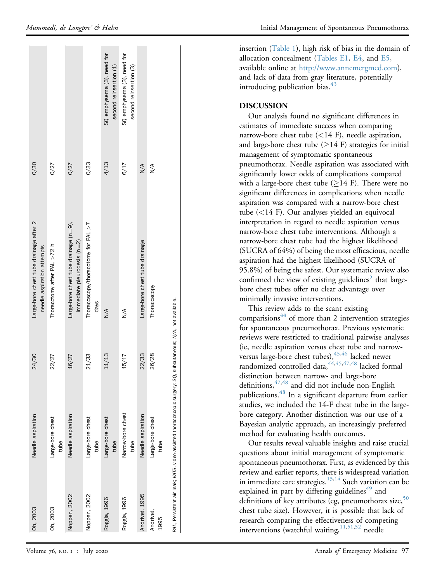| Oh, 2003          | Needle aspiration                                                         | 24/30                             | Large-bore chest tube drainage after 2<br>needle aspiration attempts    | 0/30                                                         |
|-------------------|---------------------------------------------------------------------------|-----------------------------------|-------------------------------------------------------------------------|--------------------------------------------------------------|
| Oh, 2003          | Large-bore chest<br>tube                                                  | 22/27                             | Thoracotomy after PAL $>72$ h                                           | 0/27                                                         |
| Noppen, 2002      | Needle aspiration                                                         | 16/27                             | Large-bore chest tube drainage $(n=9)$ ,<br>immediate pleurodesis (n=2) | 0/27                                                         |
| Noppen, 2002      | Large-bore chest<br>tube                                                  | 21/33                             | Thoracoscopy/thoracotomy for PAL >7<br>days                             | 0/33                                                         |
| Roggla, 1996      | Large-bore chest<br>tube                                                  | 11/13                             | $\frac{4}{2}$                                                           | SQ emphysema (3), need for<br>second reinsertion (1)<br>4/13 |
| Roggla, 1996      | Narrow-bore chest<br>tube                                                 | 15/17                             | $\frac{4}{2}$                                                           | SQ emphysema (3), need for<br>second reinsertion (3)<br>6/17 |
| Andrivet, 1995    | Needle aspiration                                                         | 22/33                             | Large-bore chest tube drainage                                          | $\frac{4}{\sqrt{2}}$                                         |
| Andrivet,<br>1995 | Large-bore chest<br>tube                                                  | 26/28                             | Thoracoscopy                                                            | $\sum_{i=1}^{n}$                                             |
|                   | PAL, Persistent air leak; VATS, video-assisted thoracoscopic surgery; SQ, | subcutaneous; N/A, not available. |                                                                         |                                                              |

insertion [\(Table 1\)](#page-4-0), high risk of bias in the domain of allocation concealment (Tables E1, E4, and E5, available online at <http://www.annemergmed.com>), and lack of data from gray literature, potentially introducing publication bias. $43$ 

## DISCUSSION

Our analysis found no signi ficant differences in estimates of immediate success when comparing narrow-bore chest tube ( <14 F), needle aspiration, and large-bore chest tube ( $\geq$ 14 F) strategies for initial management of symptomatic spontaneous pneumothorax. Needle aspiration was associated with signi ficantly lower odds of complications compared with a large-bore chest tube  $(\geq)14$  F). There were no significant differences in complications when needle aspiration was compared with a narrow-bore chest tube ( <14 F). Our analyses yielded an equivocal interpretation in regard to needle aspiration versus narrow-bore chest tube interventions. Although a narrow-bore chest tube had the highest likelihood (SUCRA of 64%) of being the most efficacious, needle aspiration had the highest likelihood (SUCRA of 95.8%) of being the safest. Our systematic review also confirmed the view of existing guidelines<sup>[5](#page-13-4)</sup> that largebore chest tubes offer no clear advantage over minimally invasive interventions.

This review adds to the scant existing comparisions $44$  of more than 2 intervention strategies for spontaneous pneumothorax. Previous systematic reviews were restricted to traditional pairwise analyses (ie, needle aspiration versus chest tube and narrow-versus large-bore chest tubes), <sup>45[,46](#page-14-8)</sup> lacked newer randomized controlled data,  $44,45,47,48$  $44,45,47,48$  $44,45,47,48$  $44,45,47,48$  $44,45,47,48$  lacked formal distinction between narrow- and large-bore definitions,  $47,48$  $47,48$  and did not include non-English publications.<sup>[48](#page-14-10)</sup> In a significant departure from earlier studies, we included the 14-F chest tube in the largebore category. Another distinction was our use of a Bayesian analytic approach, an increasingly preferred method for evaluating health outcomes.

Our results reveal valuable insights and raise crucial questions about initial management of symptomatic spontaneous pneumothorax. First, as evidenced by this review and earlier reports, there is widespread variation in immediate care strategies.<sup>[13](#page-13-35),[14](#page-13-36)</sup> Such variation can be explained in part by differing guidelines $49$  and definitions of key attributes (eg, pneumothorax size,<sup>[50](#page-14-12)</sup> chest tube size). However, it is possible that lack of research comparing the effectiveness of competing interventions (watchful waiting, [11](#page-13-10)[,51](#page-14-13)[,52](#page-14-14) needle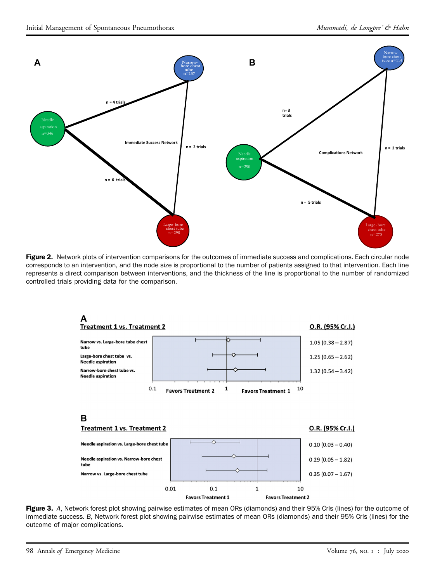<span id="page-10-0"></span>

<span id="page-10-1"></span>Figure 2. Network plots of intervention comparisons for the outcomes of immediate success and complications. Each circular node corresponds to an intervention, and the node size is proportional to the number of patients assigned to that intervention. Each line represents a direct comparison between interventions, and the thickness of the line is proportional to the number of randomized controlled trials providing data for the comparison.



Figure 3. A, Network forest plot showing pairwise estimates of mean ORs (diamonds) and their 95% CrIs (lines) for the outcome of immediate success. B, Network forest plot showing pairwise estimates of mean ORs (diamonds) and their 95% CrIs (lines) for the outcome of major complications.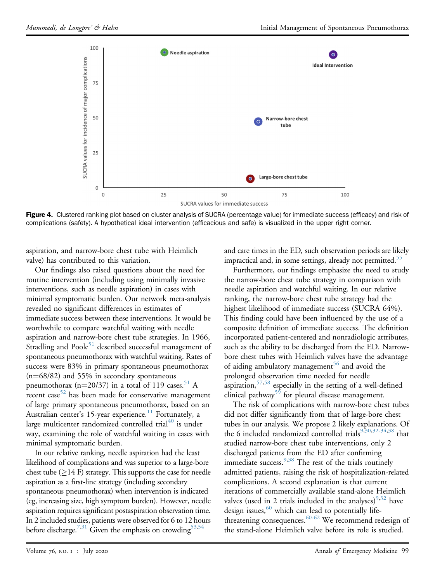<span id="page-11-0"></span>

Figure 4. Clustered ranking plot based on cluster analysis of SUCRA (percentage value) for immediate success (efficacy) and risk of complications (safety). A hypothetical ideal intervention (efficacious and safe) is visualized in the upper right corner.

aspiration, and narrow-bore chest tube with Heimlich valve) has contributed to this variation.

Our findings also raised questions about the need for routine intervention (including using minimally invasive interventions, such as needle aspiration) in cases with minimal symptomatic burden. Our network meta-analysis revealed no significant differences in estimates of immediate success between these interventions. It would be worthwhile to compare watchful waiting with needle aspiration and narrow-bore chest tube strategies. In 1966, Stradling and  $Poole<sup>51</sup>$  $Poole<sup>51</sup>$  $Poole<sup>51</sup>$  described successful management of spontaneous pneumothorax with watchful waiting. Rates of success were 83% in primary spontaneous pneumothorax  $(n=68/82)$  and 55% in secondary spontaneous pneumothorax (n=20/37) in a total of 119 cases.<sup>[51](#page-14-13)</sup> A recent case<sup>[52](#page-14-14)</sup> has been made for conservative management of large primary spontaneous pneumothorax, based on an Australian center's 15-year experience.<sup>[11](#page-13-10)</sup> Fortunately, a large multicenter randomized controlled trial $40$  is under way, examining the role of watchful waiting in cases with minimal symptomatic burden.

In our relative ranking, needle aspiration had the least likelihood of complications and was superior to a large-bore chest tube  $(\geq)14$  F) strategy. This supports the case for needle aspiration as a first-line strategy (including secondary spontaneous pneumothorax) when intervention is indicated (eg, increasing size, high symptom burden). However, needle aspiration requires significant postaspiration observation time. In 2 included studies, patients were observed for 6 to 12 hours before discharge.<sup>7[,31](#page-13-34)</sup> Given the emphasis on crowding<sup>53[,54](#page-14-16)</sup>

and care times in the ED, such observation periods are likely impractical and, in some settings, already not permitted.<sup>55</sup>

Furthermore, our findings emphasize the need to study the narrow-bore chest tube strategy in comparison with needle aspiration and watchful waiting. In our relative ranking, the narrow-bore chest tube strategy had the highest likelihood of immediate success (SUCRA 64%). This finding could have been influenced by the use of a composite definition of immediate success. The definition incorporated patient-centered and nonradiologic attributes, such as the ability to be discharged from the ED. Narrowbore chest tubes with Heimlich valves have the advantage of aiding ambulatory management<sup>56</sup> and avoid the prolonged observation time needed for needle aspiration,  $57,58$  $57,58$  especially in the setting of a well-defined clinical pathway<sup>[59](#page-14-21)</sup> for pleural disease management.

The risk of complications with narrow-bore chest tubes did not differ significantly from that of large-bore chest tubes in our analysis. We propose 2 likely explanations. Of the 6 included randomized controlled trials<sup>[9,](#page-13-8)[30,](#page-13-27)[32-34](#page-13-32)[,38](#page-14-1)</sup> that studied narrow-bore chest tube interventions, only 2 discharged patients from the ED after confirming immediate success.<sup>[9](#page-13-8)[,38](#page-14-1)</sup> The rest of the trials routinely admitted patients, raising the risk of hospitalization-related complications. A second explanation is that current iterations of commercially available stand-alone Heimlich valves (used in 2 trials included in the analyses)<sup>[9](#page-13-8),[32](#page-13-32)</sup> have design issues,  $60$  which can lead to potentially life-threatening consequences.<sup>[60-62](#page-14-22)</sup> We recommend redesign of the stand-alone Heimlich valve before its role is studied.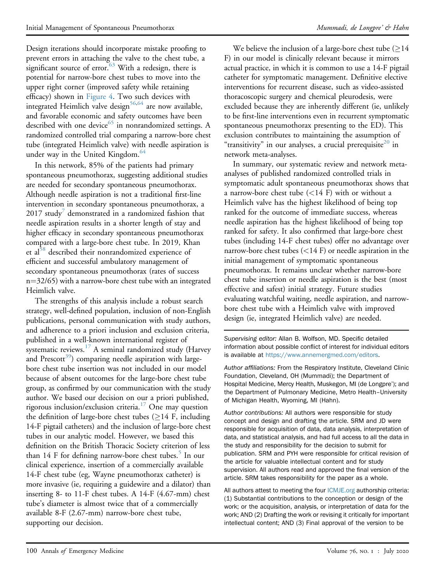Design iterations should incorporate mistake proofing to prevent errors in attaching the valve to the chest tube, a significant source of error. $63$  With a redesign, there is potential for narrow-bore chest tubes to move into the upper right corner (improved safety while retaining efficacy) shown in [Figure 4.](#page-11-0) Two such devices with integrated Heimlich valve design $56,64$  $56,64$  are now available, and favorable economic and safety outcomes have been described with one device<sup>[65](#page-14-25)</sup> in nonrandomized settings. A randomized controlled trial comparing a narrow-bore chest tube (integrated Heimlich valve) with needle aspiration is under way in the United Kingdom.<sup>[64](#page-14-24)</sup>

In this network, 85% of the patients had primary spontaneous pneumothorax, suggesting additional studies are needed for secondary spontaneous pneumothorax. Although needle aspiration is not a traditional first-line intervention in secondary spontaneous pneumothorax, a  $2017$  study demonstrated in a randomized fashion that needle aspiration results in a shorter length of stay and higher efficacy in secondary spontaneous pneumothorax compared with a large-bore chest tube. In 2019, Khan et al<sup>[58](#page-14-20)</sup> described their nonrandomized experience of efficient and successful ambulatory management of secondary spontaneous pneumothorax (rates of success  $n=32/65$ ) with a narrow-bore chest tube with an integrated Heimlich valve.

The strengths of this analysis include a robust search strategy, well-defined population, inclusion of non-English publications, personal communication with study authors, and adherence to a priori inclusion and exclusion criteria, published in a well-known international register of systematic reviews.<sup>17</sup> A seminal randomized study (Harvey and Prescott<sup>39</sup>) comparing needle aspiration with largebore chest tube insertion was not included in our model because of absent outcomes for the large-bore chest tube group, as confirmed by our communication with the study author. We based our decision on our a priori published, rigorous inclusion/exclusion criteria.[17](#page-13-14) One may question the definition of large-bore chest tubes  $(≥14$  F, including 14-F pigtail catheters) and the inclusion of large-bore chest tubes in our analytic model. However, we based this definition on the British Thoracic Society criterion of less than 14 F for defining narrow-bore chest tubes.<sup>[5](#page-13-4)</sup> In our clinical experience, insertion of a commercially available 14-F chest tube (eg, Wayne pneumothorax catheter) is more invasive (ie, requiring a guidewire and a dilator) than inserting 8- to 11-F chest tubes. A 14-F (4.67-mm) chest tube's diameter is almost twice that of a commercially available 8-F (2.67-mm) narrow-bore chest tube, supporting our decision.

We believe the inclusion of a large-bore chest tube  $(214)$ F) in our model is clinically relevant because it mirrors actual practice, in which it is common to use a 14-F pigtail catheter for symptomatic management. Definitive elective interventions for recurrent disease, such as video-assisted thoracoscopic surgery and chemical pleurodesis, were excluded because they are inherently different (ie, unlikely to be first-line interventions even in recurrent symptomatic spontaneous pneumothorax presenting to the ED). This exclusion contributes to maintaining the assumption of "transitivity" in our analyses, a crucial prerequisite<sup>[20](#page-13-17)</sup> in network meta-analyses.

In summary, our systematic review and network metaanalyses of published randomized controlled trials in symptomatic adult spontaneous pneumothorax shows that a narrow-bore chest tube  $(<14$  F) with or without a Heimlich valve has the highest likelihood of being top ranked for the outcome of immediate success, whereas needle aspiration has the highest likelihood of being top ranked for safety. It also confirmed that large-bore chest tubes (including 14-F chest tubes) offer no advantage over narrow-bore chest tubes  $(<14 \text{ F})$  or needle aspiration in the initial management of symptomatic spontaneous pneumothorax. It remains unclear whether narrow-bore chest tube insertion or needle aspiration is the best (most effective and safest) initial strategy. Future studies evaluating watchful waiting, needle aspiration, and narrowbore chest tube with a Heimlich valve with improved design (ie, integrated Heimlich valve) are needed.

Supervising editor: Allan B. Wolfson, MD. Specific detailed information about possible conflict of interest for individual editors is available at [https://www.annemergmed.com/editors.](https://www.annemergmed.com/editors)

Author affiliations: From the Respiratory Institute, Cleveland Clinic Foundation, Cleveland, OH (Mummadi); the Department of Hospital Medicine, Mercy Health, Muskegon, MI (de Longpre'); and the Department of Pulmonary Medicine, Metro Health–University of Michigan Health, Wyoming, MI (Hahn).

Author contributions: All authors were responsible for study concept and design and drafting the article. SRM and JD were responsible for acquisition of data, data analysis, interpretation of data, and statistical analysis, and had full access to all the data in the study and responsibility for the decision to submit for publication. SRM and PYH were responsible for critical revision of the article for valuable intellectual content and for study supervision. All authors read and approved the final version of the article. SRM takes responsibility for the paper as a whole.

All authors attest to meeting the four [ICMJE.org](http://ICMJE.org) authorship criteria: (1) Substantial contributions to the conception or design of the work; or the acquisition, analysis, or interpretation of data for the work; AND (2) Drafting the work or revising it critically for important intellectual content; AND (3) Final approval of the version to be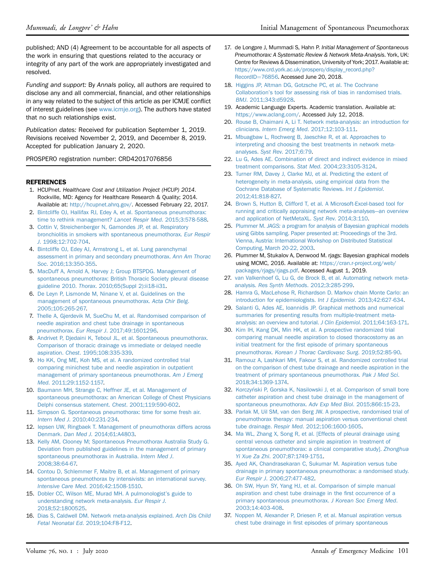published; AND (4) Agreement to be accountable for all aspects of the work in ensuring that questions related to the accuracy or integrity of any part of the work are appropriately investigated and resolved.

Funding and support: By Annals policy, all authors are required to disclose any and all commercial, financial, and other relationships in any way related to the subject of this article as per ICMJE conflict of interest guidelines (see [www.icmje.org\)](http://www.icmje.org). The authors have stated that no such relationships exist.

Publication dates: Received for publication September 1, 2019. Revisions received November 2, 2019, and December 8, 2019. Accepted for publication January 2, 2020.

PROSPERO registration number: CRD42017076856

#### **REFERENCES**

- <span id="page-13-0"></span>1. HCUPnet. Healthcare Cost and Utilization Project (HCUP) 2014. Rockville, MD: Agency for Healthcare Research & Quality; 2014. Available at: <http://hcupnet.ahrq.gov/>. Accessed February 22, 2017.
- <span id="page-13-1"></span>2. [Bintcliffe OJ, Hallifax RJ, Edey A, et al. Spontaneous pneumothorax:](http://refhub.elsevier.com/S0196-0644(20)30009-3/sref2) [time to rethink management?](http://refhub.elsevier.com/S0196-0644(20)30009-3/sref2) Lancet Respir Med. 2015;3:578-588.
- <span id="page-13-2"></span>3. [Cottin V, Streichenberger N, Gamondes JP, et al. Respiratory](http://refhub.elsevier.com/S0196-0644(20)30009-3/sref3) [bronchiolitis in smokers with spontaneous pneumothorax.](http://refhub.elsevier.com/S0196-0644(20)30009-3/sref3) Eur Respir J[. 1998;12:702-704](http://refhub.elsevier.com/S0196-0644(20)30009-3/sref3).
- <span id="page-13-3"></span>4. [Bintcliffe OJ, Edey AJ, Armstrong L, et al. Lung parenchymal](http://refhub.elsevier.com/S0196-0644(20)30009-3/sref4) [assessment in primary and secondary pneumothorax.](http://refhub.elsevier.com/S0196-0644(20)30009-3/sref4) Ann Am Thorac Soc[. 2016;13:350-355](http://refhub.elsevier.com/S0196-0644(20)30009-3/sref4).
- <span id="page-13-4"></span>5. [MacDuff A, Arnold A, Harvey J; Group BTSPDG. Management of](http://refhub.elsevier.com/S0196-0644(20)30009-3/sref5) [spontaneous pneumothorax: British Thoracic Society pleural disease](http://refhub.elsevier.com/S0196-0644(20)30009-3/sref5) guideline 2010. Thorax[. 2010;65\(Suppl 2\):ii18-ii31.](http://refhub.elsevier.com/S0196-0644(20)30009-3/sref5)
- <span id="page-13-5"></span>6. [De Leyn P, Lismonde M, Ninane V, et al. Guidelines on the](http://refhub.elsevier.com/S0196-0644(20)30009-3/sref6) [management of spontaneous pneumothorax.](http://refhub.elsevier.com/S0196-0644(20)30009-3/sref6) Acta Chir Belg. [2005;105:265-267.](http://refhub.elsevier.com/S0196-0644(20)30009-3/sref6)
- <span id="page-13-6"></span>7. [Thelle A, Gjerdevik M, SueChu M, et al. Randomised comparison of](http://refhub.elsevier.com/S0196-0644(20)30009-3/sref7) [needle aspiration and chest tube drainage in spontaneous](http://refhub.elsevier.com/S0196-0644(20)30009-3/sref7) pneumothorax. Eur Respir J[. 2017;49:1601296.](http://refhub.elsevier.com/S0196-0644(20)30009-3/sref7)
- <span id="page-13-7"></span>8. [Andrivet P, Djedaini K, Teboul JL, et al. Spontaneous pneumothorax.](http://refhub.elsevier.com/S0196-0644(20)30009-3/sref8) [Comparison of thoracic drainage vs immediate or delayed needle](http://refhub.elsevier.com/S0196-0644(20)30009-3/sref8) aspiration. Chest[. 1995;108:335-339](http://refhub.elsevier.com/S0196-0644(20)30009-3/sref8).
- <span id="page-13-8"></span>9. [Ho KK, Ong ME, Koh MS, et al. A randomized controlled trial](http://refhub.elsevier.com/S0196-0644(20)30009-3/sref9) [comparing minichest tube and needle aspiration in outpatient](http://refhub.elsevier.com/S0196-0644(20)30009-3/sref9) [management of primary spontaneous pneumothorax.](http://refhub.elsevier.com/S0196-0644(20)30009-3/sref9) Am J Emerg Med[. 2011;29:1152-1157.](http://refhub.elsevier.com/S0196-0644(20)30009-3/sref9)
- <span id="page-13-9"></span>10. [Baumann MH, Strange C, Heffner JE, et al. Management of](http://refhub.elsevier.com/S0196-0644(20)30009-3/sref10) [spontaneous pneumothorax: an American College of Chest Physicians](http://refhub.elsevier.com/S0196-0644(20)30009-3/sref10) [Delphi consensus statement.](http://refhub.elsevier.com/S0196-0644(20)30009-3/sref10) Chest. 2001;119:590-602.
- <span id="page-13-10"></span>11. [Simpson G. Spontaneous pneumothorax: time for some fresh air.](http://refhub.elsevier.com/S0196-0644(20)30009-3/sref11) Intern Med J[. 2010;40:231-234](http://refhub.elsevier.com/S0196-0644(20)30009-3/sref11).
- <span id="page-13-11"></span>12. [Iepsen UW, Ringbaek T. Management of pneumothorax differs across](http://refhub.elsevier.com/S0196-0644(20)30009-3/sref12) Denmark. Dan Med J[. 2014;61:A4803.](http://refhub.elsevier.com/S0196-0644(20)30009-3/sref12)
- <span id="page-13-35"></span>13. [Kelly AM, Clooney M; Spontaneous Pneumothorax Australia Study G.](http://refhub.elsevier.com/S0196-0644(20)30009-3/sref13) [Deviation from published guidelines in the management of primary](http://refhub.elsevier.com/S0196-0644(20)30009-3/sref13) [spontaneous pneumothorax in Australia.](http://refhub.elsevier.com/S0196-0644(20)30009-3/sref13) Intern Med J. [2008;38:64-67.](http://refhub.elsevier.com/S0196-0644(20)30009-3/sref13)
- <span id="page-13-36"></span>14. [Contou D, Schlemmer F, Maitre B, et al. Management of primary](http://refhub.elsevier.com/S0196-0644(20)30009-3/sref14) [spontaneous pneumothorax by intensivists: an international survey.](http://refhub.elsevier.com/S0196-0644(20)30009-3/sref14) Intensive Care Med[. 2016;42:1508-1510.](http://refhub.elsevier.com/S0196-0644(20)30009-3/sref14)
- <span id="page-13-12"></span>15. [Dobler CC, Wilson ME, Murad MH. A pulmonologist](http://refhub.elsevier.com/S0196-0644(20)30009-3/sref15)'s guide to [understanding network meta-analysis.](http://refhub.elsevier.com/S0196-0644(20)30009-3/sref15) Eur Respir J. [2018;52:1800525.](http://refhub.elsevier.com/S0196-0644(20)30009-3/sref15)
- <span id="page-13-13"></span>16. [Dias S, Caldwell DM. Network meta-analysis explained.](http://refhub.elsevier.com/S0196-0644(20)30009-3/sref16) Arch Dis Child Fetal Neonatal Ed[. 2019;104:F8-F12](http://refhub.elsevier.com/S0196-0644(20)30009-3/sref16).
- <span id="page-13-14"></span>17. de Longpre J, Mummadi S, Hahn P. Initial Management of Spontaneous Pneumothorax: A Systematic Review & Network Meta-Analysis. York, UK: Centre for Reviews & Dissemination, University of York; 2017. Available at: [https://www.crd.york.ac.uk/prospero/display\\_record.php?](https://www.crd.york.ac.uk/prospero/display_record.php?RecordID=76856) [RecordID](https://www.crd.york.ac.uk/prospero/display_record.php?RecordID=76856)=[76856.](https://www.crd.york.ac.uk/prospero/display_record.php?RecordID=76856) Accessed June 20, 2018.
- <span id="page-13-15"></span>18. [Higgins JP, Altman DG, Gotzsche PC, et al. The Cochrane](http://refhub.elsevier.com/S0196-0644(20)30009-3/sref18) Collaboration'[s tool for assessing risk of bias in randomised trials.](http://refhub.elsevier.com/S0196-0644(20)30009-3/sref18) BMJ[. 2011;343:d5928.](http://refhub.elsevier.com/S0196-0644(20)30009-3/sref18)
- <span id="page-13-16"></span>19. Academic Language Experts. Academic translation. Available at: <https://www.aclang.com/>. Accessed July 12, 2018.
- <span id="page-13-17"></span>20. [Rouse B, Chaimani A, Li T. Network meta-analysis: an introduction for](http://refhub.elsevier.com/S0196-0644(20)30009-3/sref20) clinicians. Intern Emerg Med[. 2017;12:103-111.](http://refhub.elsevier.com/S0196-0644(20)30009-3/sref20)
- <span id="page-13-18"></span>21. [Mbuagbaw L, Rochwerg B, Jaeschke R, et al. Approaches to](http://refhub.elsevier.com/S0196-0644(20)30009-3/sref21) [interpreting and choosing the best treatments in network meta](http://refhub.elsevier.com/S0196-0644(20)30009-3/sref21)analyses. Syst Rev[. 2017;6:79](http://refhub.elsevier.com/S0196-0644(20)30009-3/sref21).
- <span id="page-13-19"></span>22. [Lu G, Ades AE. Combination of direct and indirect evidence in mixed](http://refhub.elsevier.com/S0196-0644(20)30009-3/sref22) [treatment comparisons.](http://refhub.elsevier.com/S0196-0644(20)30009-3/sref22) Stat Med. 2004;23:3105-3124.
- <span id="page-13-20"></span>23. [Turner RM, Davey J, Clarke MJ, et al. Predicting the extent of](http://refhub.elsevier.com/S0196-0644(20)30009-3/sref23) [heterogeneity in meta-analysis, using empirical data from the](http://refhub.elsevier.com/S0196-0644(20)30009-3/sref23) [Cochrane Database of Systematic Reviews.](http://refhub.elsevier.com/S0196-0644(20)30009-3/sref23) Int J Epidemiol. [2012;41:818-827.](http://refhub.elsevier.com/S0196-0644(20)30009-3/sref23)
- <span id="page-13-21"></span>24. [Brown S, Hutton B, Clifford T, et al. A Microsoft-Excel-based tool for](http://refhub.elsevier.com/S0196-0644(20)30009-3/sref24) [running and critically appraising network meta-analyses](http://refhub.elsevier.com/S0196-0644(20)30009-3/sref24)—[an overview](http://refhub.elsevier.com/S0196-0644(20)30009-3/sref24) [and application of NetMetaXL.](http://refhub.elsevier.com/S0196-0644(20)30009-3/sref24) Syst Rev. 2014;3:110.
- <span id="page-13-22"></span>25. Plummer M. JAGS: [a program for analysis of Bayesian graphical models](http://refhub.elsevier.com/S0196-0644(20)30009-3/sref25) [using Gibbs sampling. Paper presented at: Proceedings of the 3rd.](http://refhub.elsevier.com/S0196-0644(20)30009-3/sref25) [Vienna, Austria: International Workshop on Distributed Statistical](http://refhub.elsevier.com/S0196-0644(20)30009-3/sref25) [Computing, March 20-22, 2003.](http://refhub.elsevier.com/S0196-0644(20)30009-3/sref25)
- <span id="page-13-23"></span>26. Plummer M, Stukalov A, Denwood M. rjags: Bayesian graphical models using MCMC, 2016. Available at: [https://cran.r-project.org/web/](https://cran.r-project.org/web/packages/rjags/rjags.pdf) [packages/rjags/rjags.pdf.](https://cran.r-project.org/web/packages/rjags/rjags.pdf) Accessed August 1, 2019.
- <span id="page-13-24"></span>27. [van Valkenhoef G, Lu G, de Brock B, et al. Automating network meta](http://refhub.elsevier.com/S0196-0644(20)30009-3/sref27)analysis. [Res Synth Methods](http://refhub.elsevier.com/S0196-0644(20)30009-3/sref27). 2012;3:285-299.
- <span id="page-13-25"></span>28. [Hamra G, MacLehose R, Richardson D. Markov chain Monte Carlo: an](http://refhub.elsevier.com/S0196-0644(20)30009-3/sref28) [introduction for epidemiologists.](http://refhub.elsevier.com/S0196-0644(20)30009-3/sref28) Int J Epidemiol. 2013;42:627-634.
- <span id="page-13-26"></span>29. [Salanti G, Ades AE, Ioannidis JP. Graphical methods and numerical](http://refhub.elsevier.com/S0196-0644(20)30009-3/sref29) [summaries for presenting results from multiple-treatment meta](http://refhub.elsevier.com/S0196-0644(20)30009-3/sref29)[analysis: an overview and tutorial.](http://refhub.elsevier.com/S0196-0644(20)30009-3/sref29) J Clin Epidemiol. 2011;64:163-171.
- <span id="page-13-27"></span>30. [Kim IH, Kang DK, Min HK, et al. A prospective randomized trial](http://refhub.elsevier.com/S0196-0644(20)30009-3/sref30) [comparing manual needle aspiration to closed thoracostomy as an](http://refhub.elsevier.com/S0196-0644(20)30009-3/sref30) initial treatment for the fi[rst episode of primary spontaneous](http://refhub.elsevier.com/S0196-0644(20)30009-3/sref30) pneumothorax. [Korean J Thorac Cardiovasc Surg](http://refhub.elsevier.com/S0196-0644(20)30009-3/sref30). 2019;52:85-90.
- <span id="page-13-34"></span>31. [Ramouz A, Lashkari MH, Fakour S, et al. Randomized controlled trial](http://refhub.elsevier.com/S0196-0644(20)30009-3/sref31) [on the comparison of chest tube drainage and needle aspiration in the](http://refhub.elsevier.com/S0196-0644(20)30009-3/sref31) [treatment of primary spontaneous pneumothorax.](http://refhub.elsevier.com/S0196-0644(20)30009-3/sref31) Pak J Med Sci. [2018;34:1369-1374](http://refhub.elsevier.com/S0196-0644(20)30009-3/sref31).
- <span id="page-13-32"></span>32. Korczyński P, Gorska K, Nasilowski J, et al. Comparison of small bore [catheter aspiration and chest tube drainage in the management of](http://refhub.elsevier.com/S0196-0644(20)30009-3/sref32) [spontaneous pneumothorax.](http://refhub.elsevier.com/S0196-0644(20)30009-3/sref32) Adv Exp Med Biol. 2015;866:15-23.
- <span id="page-13-28"></span>33. [Parlak M, Uil SM, van den Berg JW. A prospective, randomised trial of](http://refhub.elsevier.com/S0196-0644(20)30009-3/sref33) [pneumothorax therapy: manual aspiration versus conventional chest](http://refhub.elsevier.com/S0196-0644(20)30009-3/sref33) tube drainage. Respir Med[. 2012;106:1600-1605](http://refhub.elsevier.com/S0196-0644(20)30009-3/sref33).
- <span id="page-13-29"></span>34. [Ma WL, Zhang X, Song R, et al. \[Effects of pleural drainage using](http://refhub.elsevier.com/S0196-0644(20)30009-3/sref34) [central venous catheter and simple aspiration in treatment of](http://refhub.elsevier.com/S0196-0644(20)30009-3/sref34) [spontaneous pneumothorax: a clinical comparative study\].](http://refhub.elsevier.com/S0196-0644(20)30009-3/sref34) Zhonghua Yi Xue Za Zhi[. 2007;87:1749-1751](http://refhub.elsevier.com/S0196-0644(20)30009-3/sref34).
- <span id="page-13-31"></span>35. [Ayed AK, Chandrasekaran C, Sukumar M. Aspiration versus tube](http://refhub.elsevier.com/S0196-0644(20)30009-3/sref35) [drainage in primary spontaneous pneumothorax: a randomised study.](http://refhub.elsevier.com/S0196-0644(20)30009-3/sref35) Eur Respir J[. 2006;27:477-482.](http://refhub.elsevier.com/S0196-0644(20)30009-3/sref35)
- <span id="page-13-30"></span>36. [Oh SW, Hyun SY, Yang HJ, et al. Comparison of simple manual](http://refhub.elsevier.com/S0196-0644(20)30009-3/sref36) [aspiration and chest tube drainage in the](http://refhub.elsevier.com/S0196-0644(20)30009-3/sref36) first occurrence of a [primary spontaneous pneumothorax.](http://refhub.elsevier.com/S0196-0644(20)30009-3/sref36) J Korean Soc Emerg Med. [2003;14:403-408.](http://refhub.elsevier.com/S0196-0644(20)30009-3/sref36)
- <span id="page-13-33"></span>37. [Noppen M, Alexander P, Driesen P, et al. Manual aspiration versus](http://refhub.elsevier.com/S0196-0644(20)30009-3/sref37) chest tube drainage in fi[rst episodes of primary spontaneous](http://refhub.elsevier.com/S0196-0644(20)30009-3/sref37)